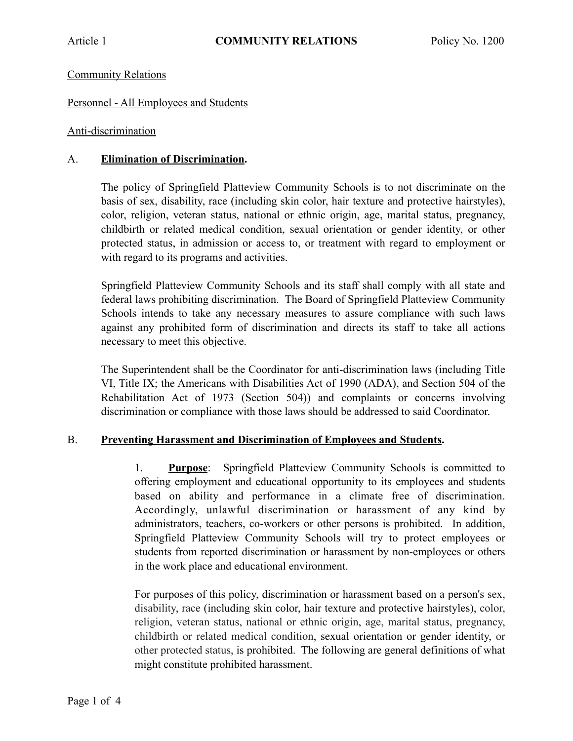## Community Relations

## Personnel - All Employees and Students

## Anti-discrimination

## A. **Elimination of Discrimination.**

The policy of Springfield Platteview Community Schools is to not discriminate on the basis of sex, disability, race (including skin color, hair texture and protective hairstyles), color, religion, veteran status, national or ethnic origin, age, marital status, pregnancy, childbirth or related medical condition, sexual orientation or gender identity, or other protected status, in admission or access to, or treatment with regard to employment or with regard to its programs and activities.

Springfield Platteview Community Schools and its staff shall comply with all state and federal laws prohibiting discrimination. The Board of Springfield Platteview Community Schools intends to take any necessary measures to assure compliance with such laws against any prohibited form of discrimination and directs its staff to take all actions necessary to meet this objective.

The Superintendent shall be the Coordinator for anti-discrimination laws (including Title VI, Title IX; the Americans with Disabilities Act of 1990 (ADA), and Section 504 of the Rehabilitation Act of 1973 (Section 504)) and complaints or concerns involving discrimination or compliance with those laws should be addressed to said Coordinator.

#### B. **Preventing Harassment and Discrimination of Employees and Students.**

1. **Purpose**: Springfield Platteview Community Schools is committed to offering employment and educational opportunity to its employees and students based on ability and performance in a climate free of discrimination. Accordingly, unlawful discrimination or harassment of any kind by administrators, teachers, co-workers or other persons is prohibited. In addition, Springfield Platteview Community Schools will try to protect employees or students from reported discrimination or harassment by non-employees or others in the work place and educational environment.

For purposes of this policy, discrimination or harassment based on a person's sex, disability, race (including skin color, hair texture and protective hairstyles), color, religion, veteran status, national or ethnic origin, age, marital status, pregnancy, childbirth or related medical condition, sexual orientation or gender identity, or other protected status, is prohibited. The following are general definitions of what might constitute prohibited harassment.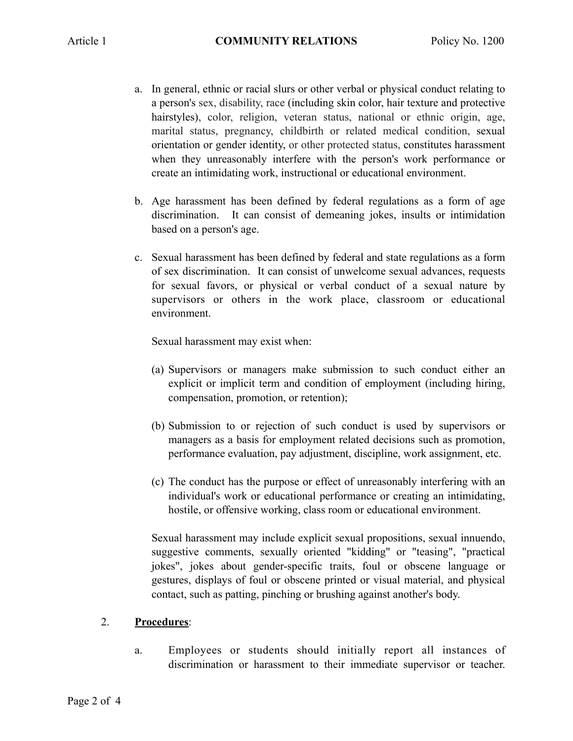- a. In general, ethnic or racial slurs or other verbal or physical conduct relating to a person's sex, disability, race (including skin color, hair texture and protective hairstyles), color, religion, veteran status, national or ethnic origin, age, marital status, pregnancy, childbirth or related medical condition, sexual orientation or gender identity, or other protected status, constitutes harassment when they unreasonably interfere with the person's work performance or create an intimidating work, instructional or educational environment.
- b. Age harassment has been defined by federal regulations as a form of age discrimination. It can consist of demeaning jokes, insults or intimidation based on a person's age.
- c. Sexual harassment has been defined by federal and state regulations as a form of sex discrimination. It can consist of unwelcome sexual advances, requests for sexual favors, or physical or verbal conduct of a sexual nature by supervisors or others in the work place, classroom or educational environment.

Sexual harassment may exist when:

- (a) Supervisors or managers make submission to such conduct either an explicit or implicit term and condition of employment (including hiring, compensation, promotion, or retention);
- (b) Submission to or rejection of such conduct is used by supervisors or managers as a basis for employment related decisions such as promotion, performance evaluation, pay adjustment, discipline, work assignment, etc.
- (c) The conduct has the purpose or effect of unreasonably interfering with an individual's work or educational performance or creating an intimidating, hostile, or offensive working, class room or educational environment.

Sexual harassment may include explicit sexual propositions, sexual innuendo, suggestive comments, sexually oriented "kidding" or "teasing", "practical jokes", jokes about gender-specific traits, foul or obscene language or gestures, displays of foul or obscene printed or visual material, and physical contact, such as patting, pinching or brushing against another's body.

# 2. **Procedures**:

a. Employees or students should initially report all instances of discrimination or harassment to their immediate supervisor or teacher.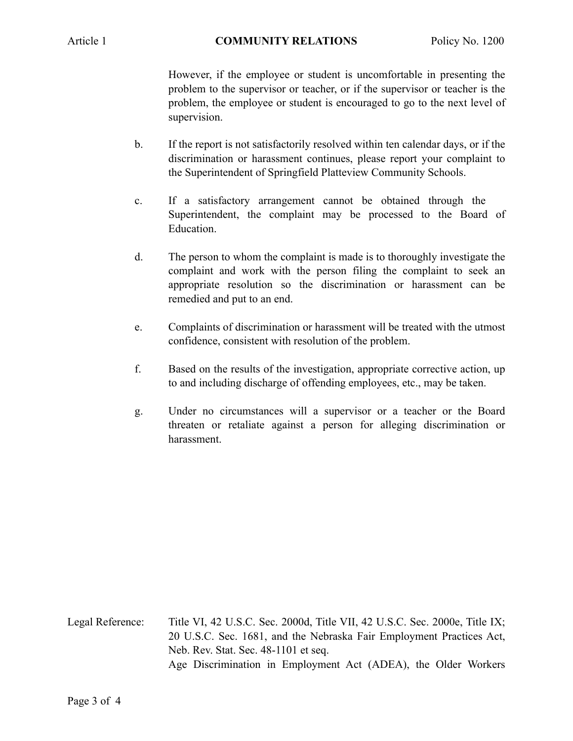However, if the employee or student is uncomfortable in presenting the problem to the supervisor or teacher, or if the supervisor or teacher is the problem, the employee or student is encouraged to go to the next level of supervision.

- b. If the report is not satisfactorily resolved within ten calendar days, or if the discrimination or harassment continues, please report your complaint to the Superintendent of Springfield Platteview Community Schools.
- c. If a satisfactory arrangement cannot be obtained through the Superintendent, the complaint may be processed to the Board of Education.
- d. The person to whom the complaint is made is to thoroughly investigate the complaint and work with the person filing the complaint to seek an appropriate resolution so the discrimination or harassment can be remedied and put to an end.
- e. Complaints of discrimination or harassment will be treated with the utmost confidence, consistent with resolution of the problem.
- f. Based on the results of the investigation, appropriate corrective action, up to and including discharge of offending employees, etc., may be taken.
- g. Under no circumstances will a supervisor or a teacher or the Board threaten or retaliate against a person for alleging discrimination or harassment.

Legal Reference: Title VI, 42 U.S.C. Sec. 2000d, Title VII, 42 U.S.C. Sec. 2000e, Title IX; 20 U.S.C. Sec. 1681, and the Nebraska Fair Employment Practices Act, Neb. Rev. Stat. Sec. 48-1101 et seq. Age Discrimination in Employment Act (ADEA), the Older Workers